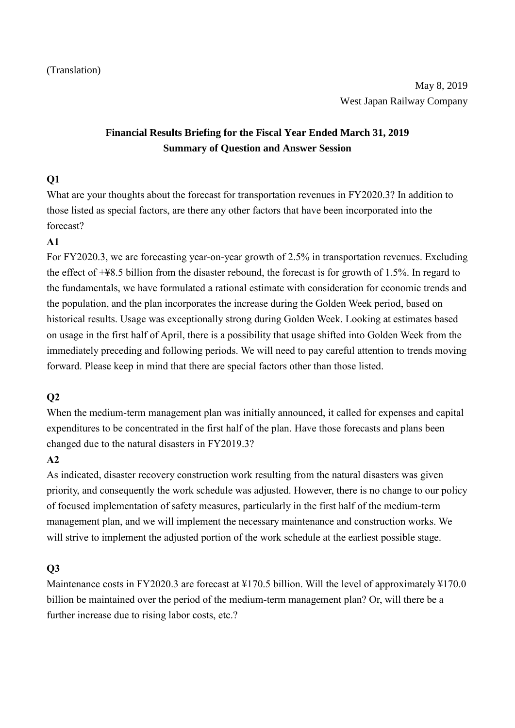# **Financial Results Briefing for the Fiscal Year Ended March 31, 2019 Summary of Question and Answer Session**

### **Q1**

What are your thoughts about the forecast for transportation revenues in FY2020.3? In addition to those listed as special factors, are there any other factors that have been incorporated into the forecast?

### **A1**

For FY2020.3, we are forecasting year-on-year growth of 2.5% in transportation revenues. Excluding the effect of +¥8.5 billion from the disaster rebound, the forecast is for growth of 1.5%. In regard to the fundamentals, we have formulated a rational estimate with consideration for economic trends and the population, and the plan incorporates the increase during the Golden Week period, based on historical results. Usage was exceptionally strong during Golden Week. Looking at estimates based on usage in the first half of April, there is a possibility that usage shifted into Golden Week from the immediately preceding and following periods. We will need to pay careful attention to trends moving forward. Please keep in mind that there are special factors other than those listed.

# **Q2**

When the medium-term management plan was initially announced, it called for expenses and capital expenditures to be concentrated in the first half of the plan. Have those forecasts and plans been changed due to the natural disasters in FY2019.3?

### **A2**

As indicated, disaster recovery construction work resulting from the natural disasters was given priority, and consequently the work schedule was adjusted. However, there is no change to our policy of focused implementation of safety measures, particularly in the first half of the medium-term management plan, and we will implement the necessary maintenance and construction works. We will strive to implement the adjusted portion of the work schedule at the earliest possible stage.

### **Q3**

Maintenance costs in FY2020.3 are forecast at ¥170.5 billion. Will the level of approximately ¥170.0 billion be maintained over the period of the medium-term management plan? Or, will there be a further increase due to rising labor costs, etc.?